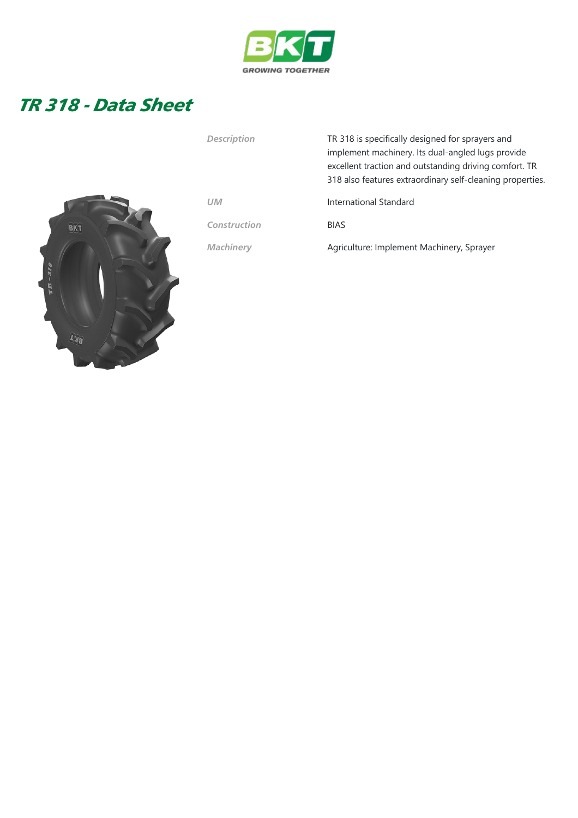

## TR 318 - Data Sheet



| Description  | TR 318 is specifically designed for sprayers and<br>implement machinery. Its dual-angled lugs provide<br>excellent traction and outstanding driving comfort. TR<br>318 also features extraordinary self-cleaning properties. |
|--------------|------------------------------------------------------------------------------------------------------------------------------------------------------------------------------------------------------------------------------|
| UM           | International Standard                                                                                                                                                                                                       |
| Construction | <b>BIAS</b>                                                                                                                                                                                                                  |
| Machinery    | Agriculture: Implement Machinery, Sprayer                                                                                                                                                                                    |
|              |                                                                                                                                                                                                                              |